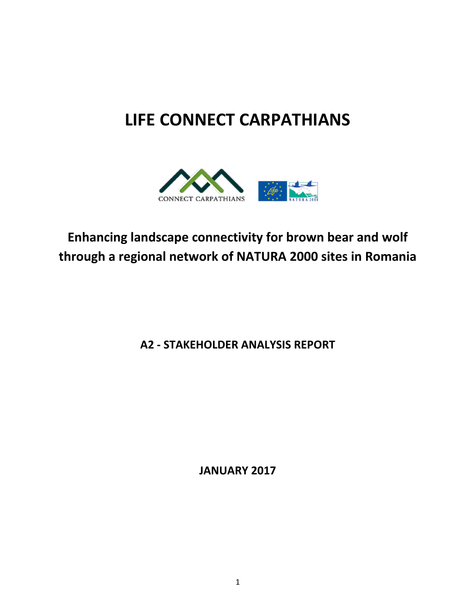## **LIFE CONNECT CARPATHIANS**



## **Enhancing landscape connectivity for brown bear and wolf through a regional network of NATURA 2000 sites in Romania**

**A2 - STAKEHOLDER ANALYSIS REPORT**

**JANUARY 2017**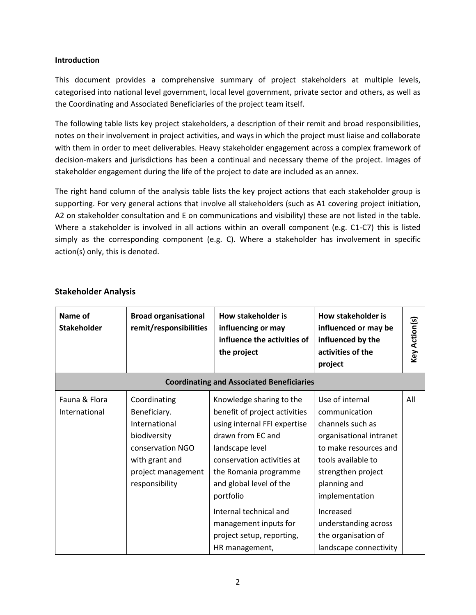## **Introduction**

This document provides a comprehensive summary of project stakeholders at multiple levels, categorised into national level government, local level government, private sector and others, as well as the Coordinating and Associated Beneficiaries of the project team itself.

The following table lists key project stakeholders, a description of their remit and broad responsibilities, notes on their involvement in project activities, and ways in which the project must liaise and collaborate with them in order to meet deliverables. Heavy stakeholder engagement across a complex framework of decision-makers and jurisdictions has been a continual and necessary theme of the project. Images of stakeholder engagement during the life of the project to date are included as an annex.

The right hand column of the analysis table lists the key project actions that each stakeholder group is supporting. For very general actions that involve all stakeholders (such as A1 covering project initiation, A2 on stakeholder consultation and E on communications and visibility) these are not listed in the table. Where a stakeholder is involved in all actions within an overall component (e.g. C1-C7) this is listed simply as the corresponding component (e.g. C). Where a stakeholder has involvement in specific action(s) only, this is denoted.

| Name of<br>Stakeholder                           | <b>Broad organisational</b><br>remit/responsibilities                                                                                       | <b>How stakeholder is</b><br>influencing or may<br>influence the activities of<br>the project                                                                                                                                                                                                                    | How stakeholder is<br>influenced or may be<br>influenced by the<br>activities of the<br>project                                                                                                                                                                              | Key Action(s) |
|--------------------------------------------------|---------------------------------------------------------------------------------------------------------------------------------------------|------------------------------------------------------------------------------------------------------------------------------------------------------------------------------------------------------------------------------------------------------------------------------------------------------------------|------------------------------------------------------------------------------------------------------------------------------------------------------------------------------------------------------------------------------------------------------------------------------|---------------|
| <b>Coordinating and Associated Beneficiaries</b> |                                                                                                                                             |                                                                                                                                                                                                                                                                                                                  |                                                                                                                                                                                                                                                                              |               |
| Fauna & Flora<br>International                   | Coordinating<br>Beneficiary.<br>International<br>biodiversity<br>conservation NGO<br>with grant and<br>project management<br>responsibility | Knowledge sharing to the<br>benefit of project activities<br>using internal FFI expertise<br>drawn from EC and<br>landscape level<br>conservation activities at<br>the Romania programme<br>and global level of the<br>portfolio<br>Internal technical and<br>management inputs for<br>project setup, reporting, | Use of internal<br>communication<br>channels such as<br>organisational intranet<br>to make resources and<br>tools available to<br>strengthen project<br>planning and<br>implementation<br>Increased<br>understanding across<br>the organisation of<br>landscape connectivity | All           |

## **Stakeholder Analysis**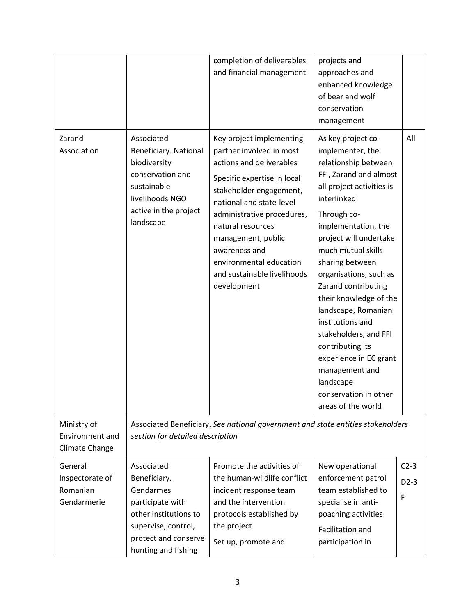|                                                       |                                                                                                                                                            | completion of deliverables<br>and financial management                                                                                                                                                                                                                                                                                    | projects and<br>approaches and<br>enhanced knowledge<br>of bear and wolf<br>conservation                                                                                                                                                                                                                                                                                                                                                                                                                                 |                       |
|-------------------------------------------------------|------------------------------------------------------------------------------------------------------------------------------------------------------------|-------------------------------------------------------------------------------------------------------------------------------------------------------------------------------------------------------------------------------------------------------------------------------------------------------------------------------------------|--------------------------------------------------------------------------------------------------------------------------------------------------------------------------------------------------------------------------------------------------------------------------------------------------------------------------------------------------------------------------------------------------------------------------------------------------------------------------------------------------------------------------|-----------------------|
|                                                       |                                                                                                                                                            |                                                                                                                                                                                                                                                                                                                                           | management                                                                                                                                                                                                                                                                                                                                                                                                                                                                                                               |                       |
| Zarand<br>Association                                 | Associated<br>Beneficiary. National<br>biodiversity<br>conservation and<br>sustainable<br>livelihoods NGO<br>active in the project<br>landscape            | Key project implementing<br>partner involved in most<br>actions and deliverables<br>Specific expertise in local<br>stakeholder engagement,<br>national and state-level<br>administrative procedures,<br>natural resources<br>management, public<br>awareness and<br>environmental education<br>and sustainable livelihoods<br>development | As key project co-<br>implementer, the<br>relationship between<br>FFI, Zarand and almost<br>all project activities is<br>interlinked<br>Through co-<br>implementation, the<br>project will undertake<br>much mutual skills<br>sharing between<br>organisations, such as<br>Zarand contributing<br>their knowledge of the<br>landscape, Romanian<br>institutions and<br>stakeholders, and FFI<br>contributing its<br>experience in EC grant<br>management and<br>landscape<br>conservation in other<br>areas of the world | All                   |
| Ministry of<br>Environment and<br>Climate Change      | section for detailed description                                                                                                                           | Associated Beneficiary. See national government and state entities stakeholders                                                                                                                                                                                                                                                           |                                                                                                                                                                                                                                                                                                                                                                                                                                                                                                                          |                       |
| General<br>Inspectorate of<br>Romanian<br>Gendarmerie | Associated<br>Beneficiary.<br>Gendarmes<br>participate with<br>other institutions to<br>supervise, control,<br>protect and conserve<br>hunting and fishing | Promote the activities of<br>the human-wildlife conflict<br>incident response team<br>and the intervention<br>protocols established by<br>the project<br>Set up, promote and                                                                                                                                                              | New operational<br>enforcement patrol<br>team established to<br>specialise in anti-<br>poaching activities<br>Facilitation and<br>participation in                                                                                                                                                                                                                                                                                                                                                                       | $C2-3$<br>$D2-3$<br>F |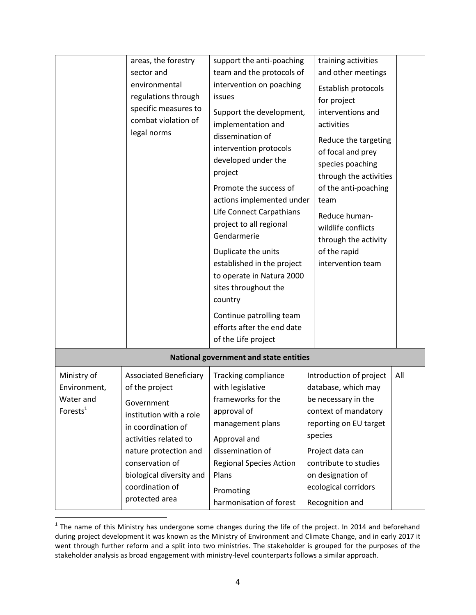|                                                                           | areas, the forestry<br>sector and<br>environmental<br>regulations through<br>specific measures to<br>combat violation of<br>legal norms                                                                                            | support the anti-poaching<br>team and the protocols of<br>intervention on poaching<br>issues<br>Support the development,<br>implementation and<br>dissemination of<br>intervention protocols<br>developed under the<br>project<br>Promote the success of<br>actions implemented under<br>Life Connect Carpathians<br>project to all regional<br>Gendarmerie<br>Duplicate the units<br>established in the project<br>to operate in Natura 2000<br>sites throughout the<br>country<br>Continue patrolling team<br>efforts after the end date<br>of the Life project | training activities<br>and other meetings<br>Establish protocols<br>for project<br>interventions and<br>activities<br>Reduce the targeting<br>of focal and prey<br>species poaching<br>through the activities<br>of the anti-poaching<br>team<br>Reduce human-<br>wildlife conflicts<br>through the activity<br>of the rapid<br>intervention team |     |
|---------------------------------------------------------------------------|------------------------------------------------------------------------------------------------------------------------------------------------------------------------------------------------------------------------------------|-------------------------------------------------------------------------------------------------------------------------------------------------------------------------------------------------------------------------------------------------------------------------------------------------------------------------------------------------------------------------------------------------------------------------------------------------------------------------------------------------------------------------------------------------------------------|---------------------------------------------------------------------------------------------------------------------------------------------------------------------------------------------------------------------------------------------------------------------------------------------------------------------------------------------------|-----|
|                                                                           |                                                                                                                                                                                                                                    | National government and state entities                                                                                                                                                                                                                                                                                                                                                                                                                                                                                                                            |                                                                                                                                                                                                                                                                                                                                                   |     |
|                                                                           |                                                                                                                                                                                                                                    |                                                                                                                                                                                                                                                                                                                                                                                                                                                                                                                                                                   |                                                                                                                                                                                                                                                                                                                                                   |     |
| Ministry of<br>Environment,<br>Water and<br>Forests $1$<br>protected area | <b>Associated Beneficiary</b><br>of the project<br>Government<br>institution with a role<br>in coordination of<br>activities related to<br>nature protection and<br>conservation of<br>biological diversity and<br>coordination of | Tracking compliance<br>with legislative<br>frameworks for the<br>approval of<br>management plans<br>Approval and<br>dissemination of<br><b>Regional Species Action</b><br>Plans<br>Promoting                                                                                                                                                                                                                                                                                                                                                                      | Introduction of project<br>database, which may<br>be necessary in the<br>context of mandatory<br>reporting on EU target<br>species<br>Project data can<br>contribute to studies<br>on designation of<br>ecological corridors                                                                                                                      | All |

The name of this Ministry has undergone some changes during the life of the project. In 2014 and beforehand **1**<br>The name of this Ministry has undergone some changes during the life of the project. In 2014 and beforehand during project development it was known as the Ministry of Environment and Climate Change, and in early 2017 it went through further reform and a split into two ministries. The stakeholder is grouped for the purposes of the stakeholder analysis as broad engagement with ministry-level counterparts follows a similar approach.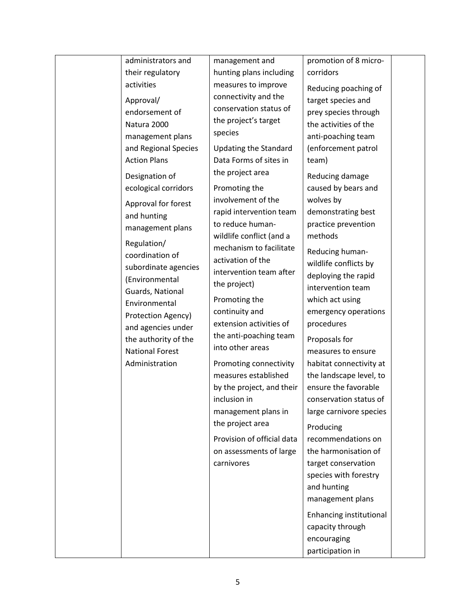| administrators and             | management and               | promotion of 8 micro-   |  |
|--------------------------------|------------------------------|-------------------------|--|
| their regulatory               | hunting plans including      | corridors               |  |
| activities                     | measures to improve          | Reducing poaching of    |  |
| Approval/                      | connectivity and the         | target species and      |  |
| endorsement of                 | conservation status of       | prey species through    |  |
| Natura 2000                    | the project's target         | the activities of the   |  |
| management plans               | species                      | anti-poaching team      |  |
| and Regional Species           | <b>Updating the Standard</b> | (enforcement patrol     |  |
| <b>Action Plans</b>            | Data Forms of sites in       | team)                   |  |
| Designation of                 | the project area             | Reducing damage         |  |
| ecological corridors           | Promoting the                | caused by bears and     |  |
| Approval for forest            | involvement of the           | wolves by               |  |
| and hunting                    | rapid intervention team      | demonstrating best      |  |
| management plans               | to reduce human-             | practice prevention     |  |
|                                | wildlife conflict (and a     | methods                 |  |
| Regulation/<br>coordination of | mechanism to facilitate      | Reducing human-         |  |
| subordinate agencies           | activation of the            | wildlife conflicts by   |  |
| (Environmental                 | intervention team after      | deploying the rapid     |  |
| Guards, National               | the project)                 | intervention team       |  |
| Environmental                  | Promoting the                | which act using         |  |
| Protection Agency)             | continuity and               | emergency operations    |  |
| and agencies under             | extension activities of      | procedures              |  |
| the authority of the           | the anti-poaching team       | Proposals for           |  |
| <b>National Forest</b>         | into other areas             | measures to ensure      |  |
| Administration                 | Promoting connectivity       | habitat connectivity at |  |
|                                | measures established         | the landscape level, to |  |
|                                | by the project, and their    | ensure the favorable    |  |
|                                | inclusion in                 | conservation status of  |  |
|                                | management plans in          | large carnivore species |  |
|                                | the project area             | Producing               |  |
|                                | Provision of official data   | recommendations on      |  |
|                                | on assessments of large      | the harmonisation of    |  |
|                                | carnivores                   | target conservation     |  |
|                                |                              | species with forestry   |  |
|                                |                              | and hunting             |  |
|                                |                              | management plans        |  |
|                                |                              |                         |  |
|                                |                              | Enhancing institutional |  |
|                                |                              | capacity through        |  |
|                                |                              | encouraging             |  |
|                                |                              | participation in        |  |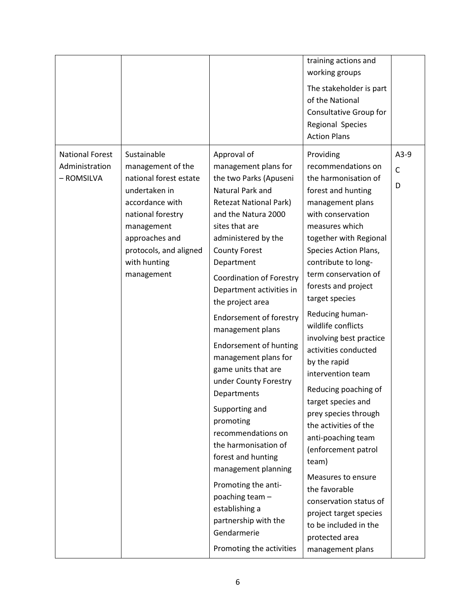|                                                        |                                                                                                                                                                                                             |                                                                                                                                                                                                                                                                                                                                                                                                                                                                                                                                                                                                                                                                                                                                                    | training actions and<br>working groups<br>The stakeholder is part<br>of the National<br>Consultative Group for<br>Regional Species<br><b>Action Plans</b>                                                                                                                                                                                                                                                                                                                                                                                                                                                                                                                                                                           |                             |
|--------------------------------------------------------|-------------------------------------------------------------------------------------------------------------------------------------------------------------------------------------------------------------|----------------------------------------------------------------------------------------------------------------------------------------------------------------------------------------------------------------------------------------------------------------------------------------------------------------------------------------------------------------------------------------------------------------------------------------------------------------------------------------------------------------------------------------------------------------------------------------------------------------------------------------------------------------------------------------------------------------------------------------------------|-------------------------------------------------------------------------------------------------------------------------------------------------------------------------------------------------------------------------------------------------------------------------------------------------------------------------------------------------------------------------------------------------------------------------------------------------------------------------------------------------------------------------------------------------------------------------------------------------------------------------------------------------------------------------------------------------------------------------------------|-----------------------------|
| <b>National Forest</b><br>Administration<br>- ROMSILVA | Sustainable<br>management of the<br>national forest estate<br>undertaken in<br>accordance with<br>national forestry<br>management<br>approaches and<br>protocols, and aligned<br>with hunting<br>management | Approval of<br>management plans for<br>the two Parks (Apuseni<br>Natural Park and<br><b>Retezat National Park)</b><br>and the Natura 2000<br>sites that are<br>administered by the<br><b>County Forest</b><br>Department<br><b>Coordination of Forestry</b><br>Department activities in<br>the project area<br><b>Endorsement of forestry</b><br>management plans<br><b>Endorsement of hunting</b><br>management plans for<br>game units that are<br>under County Forestry<br>Departments<br>Supporting and<br>promoting<br>recommendations on<br>the harmonisation of<br>forest and hunting<br>management planning<br>Promoting the anti-<br>poaching team -<br>establishing a<br>partnership with the<br>Gendarmerie<br>Promoting the activities | Providing<br>recommendations on<br>the harmonisation of<br>forest and hunting<br>management plans<br>with conservation<br>measures which<br>together with Regional<br>Species Action Plans,<br>contribute to long-<br>term conservation of<br>forests and project<br>target species<br>Reducing human-<br>wildlife conflicts<br>involving best practice<br>activities conducted<br>by the rapid<br>intervention team<br>Reducing poaching of<br>target species and<br>prey species through<br>the activities of the<br>anti-poaching team<br>(enforcement patrol<br>team)<br>Measures to ensure<br>the favorable<br>conservation status of<br>project target species<br>to be included in the<br>protected area<br>management plans | $A3-9$<br>$\mathsf{C}$<br>D |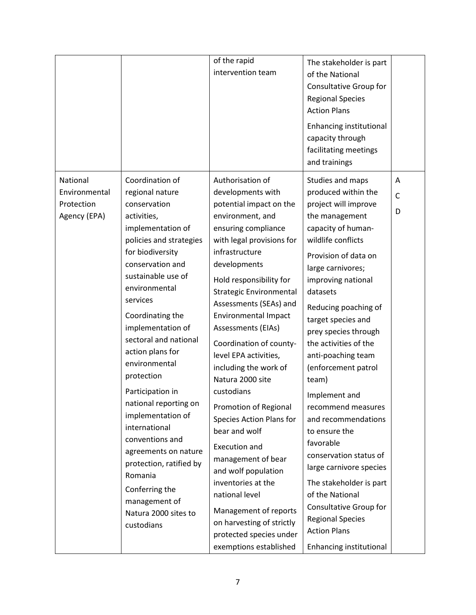|                                                         |                                                                                                                                                                                                                                                                                                                                                                                                                                                                                                                                                                                | of the rapid<br>intervention team                                                                                                                                                                                                                                                                                                                                                                                                                                                                                                                                                                                                                                                                                                   | The stakeholder is part<br>of the National<br>Consultative Group for<br><b>Regional Species</b><br><b>Action Plans</b><br>Enhancing institutional<br>capacity through<br>facilitating meetings<br>and trainings                                                                                                                                                                                                                                                                                                                                                                                                                                                         |                        |
|---------------------------------------------------------|--------------------------------------------------------------------------------------------------------------------------------------------------------------------------------------------------------------------------------------------------------------------------------------------------------------------------------------------------------------------------------------------------------------------------------------------------------------------------------------------------------------------------------------------------------------------------------|-------------------------------------------------------------------------------------------------------------------------------------------------------------------------------------------------------------------------------------------------------------------------------------------------------------------------------------------------------------------------------------------------------------------------------------------------------------------------------------------------------------------------------------------------------------------------------------------------------------------------------------------------------------------------------------------------------------------------------------|-------------------------------------------------------------------------------------------------------------------------------------------------------------------------------------------------------------------------------------------------------------------------------------------------------------------------------------------------------------------------------------------------------------------------------------------------------------------------------------------------------------------------------------------------------------------------------------------------------------------------------------------------------------------------|------------------------|
| National<br>Environmental<br>Protection<br>Agency (EPA) | Coordination of<br>regional nature<br>conservation<br>activities,<br>implementation of<br>policies and strategies<br>for biodiversity<br>conservation and<br>sustainable use of<br>environmental<br>services<br>Coordinating the<br>implementation of<br>sectoral and national<br>action plans for<br>environmental<br>protection<br>Participation in<br>national reporting on<br>implementation of<br>international<br>conventions and<br>agreements on nature<br>protection, ratified by<br>Romania<br>Conferring the<br>management of<br>Natura 2000 sites to<br>custodians | Authorisation of<br>developments with<br>potential impact on the<br>environment, and<br>ensuring compliance<br>with legal provisions for<br>infrastructure<br>developments<br>Hold responsibility for<br><b>Strategic Environmental</b><br>Assessments (SEAs) and<br><b>Environmental Impact</b><br>Assessments (EIAs)<br>Coordination of county-<br>level EPA activities,<br>including the work of<br>Natura 2000 site<br>custodians<br>Promotion of Regional<br>Species Action Plans for<br>bear and wolf<br><b>Execution and</b><br>management of bear<br>and wolf population<br>inventories at the<br>national level<br>Management of reports<br>on harvesting of strictly<br>protected species under<br>exemptions established | Studies and maps<br>produced within the<br>project will improve<br>the management<br>capacity of human-<br>wildlife conflicts<br>Provision of data on<br>large carnivores;<br>improving national<br>datasets<br>Reducing poaching of<br>target species and<br>prey species through<br>the activities of the<br>anti-poaching team<br>(enforcement patrol<br>team)<br>Implement and<br>recommend measures<br>and recommendations<br>to ensure the<br>favorable<br>conservation status of<br>large carnivore species<br>The stakeholder is part<br>of the National<br>Consultative Group for<br><b>Regional Species</b><br><b>Action Plans</b><br>Enhancing institutional | A<br>$\mathsf{C}$<br>D |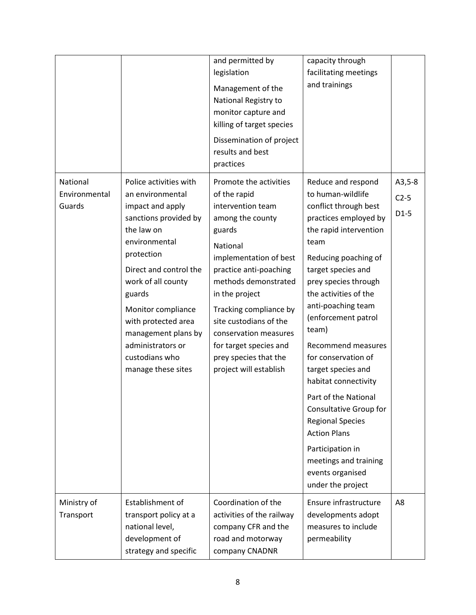|                                     |                                                                                                                                                                                                                                                                                                                                 | and permitted by<br>legislation<br>Management of the<br>National Registry to<br>monitor capture and<br>killing of target species<br>Dissemination of project<br>results and best<br>practices                                                                                                                                                                 | capacity through<br>facilitating meetings<br>and trainings                                                                                                                                                                                                                                                                                                                                                                                                                                                                                                                   |                              |
|-------------------------------------|---------------------------------------------------------------------------------------------------------------------------------------------------------------------------------------------------------------------------------------------------------------------------------------------------------------------------------|---------------------------------------------------------------------------------------------------------------------------------------------------------------------------------------------------------------------------------------------------------------------------------------------------------------------------------------------------------------|------------------------------------------------------------------------------------------------------------------------------------------------------------------------------------------------------------------------------------------------------------------------------------------------------------------------------------------------------------------------------------------------------------------------------------------------------------------------------------------------------------------------------------------------------------------------------|------------------------------|
| National<br>Environmental<br>Guards | Police activities with<br>an environmental<br>impact and apply<br>sanctions provided by<br>the law on<br>environmental<br>protection<br>Direct and control the<br>work of all county<br>guards<br>Monitor compliance<br>with protected area<br>management plans by<br>administrators or<br>custodians who<br>manage these sites | Promote the activities<br>of the rapid<br>intervention team<br>among the county<br>guards<br>National<br>implementation of best<br>practice anti-poaching<br>methods demonstrated<br>in the project<br>Tracking compliance by<br>site custodians of the<br>conservation measures<br>for target species and<br>prey species that the<br>project will establish | Reduce and respond<br>to human-wildlife<br>conflict through best<br>practices employed by<br>the rapid intervention<br>team<br>Reducing poaching of<br>target species and<br>prey species through<br>the activities of the<br>anti-poaching team<br>(enforcement patrol<br>team)<br><b>Recommend measures</b><br>for conservation of<br>target species and<br>habitat connectivity<br>Part of the National<br>Consultative Group for<br><b>Regional Species</b><br><b>Action Plans</b><br>Participation in<br>meetings and training<br>events organised<br>under the project | $A3,5-8$<br>$C2-5$<br>$D1-5$ |
| Ministry of<br>Transport            | Establishment of<br>transport policy at a<br>national level,<br>development of<br>strategy and specific                                                                                                                                                                                                                         | Coordination of the<br>activities of the railway<br>company CFR and the<br>road and motorway<br>company CNADNR                                                                                                                                                                                                                                                | Ensure infrastructure<br>developments adopt<br>measures to include<br>permeability                                                                                                                                                                                                                                                                                                                                                                                                                                                                                           | A8                           |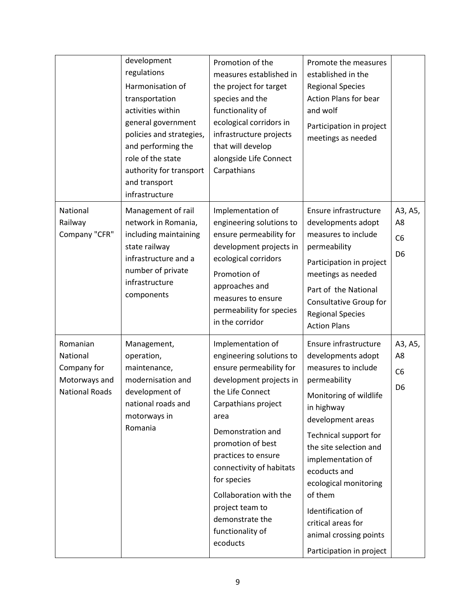|                                                                               | development<br>regulations<br>Harmonisation of<br>transportation<br>activities within<br>general government<br>policies and strategies,<br>and performing the<br>role of the state<br>authority for transport<br>and transport<br>infrastructure | Promotion of the<br>measures established in<br>the project for target<br>species and the<br>functionality of<br>ecological corridors in<br>infrastructure projects<br>that will develop<br>alongside Life Connect<br>Carpathians                                                                                                                                   | Promote the measures<br>established in the<br><b>Regional Species</b><br><b>Action Plans for bear</b><br>and wolf<br>Participation in project<br>meetings as needed                                                                                                                                                                                                          |                                                   |
|-------------------------------------------------------------------------------|--------------------------------------------------------------------------------------------------------------------------------------------------------------------------------------------------------------------------------------------------|--------------------------------------------------------------------------------------------------------------------------------------------------------------------------------------------------------------------------------------------------------------------------------------------------------------------------------------------------------------------|------------------------------------------------------------------------------------------------------------------------------------------------------------------------------------------------------------------------------------------------------------------------------------------------------------------------------------------------------------------------------|---------------------------------------------------|
| National<br>Railway<br>Company "CFR"                                          | Management of rail<br>network in Romania,<br>including maintaining<br>state railway<br>infrastructure and a<br>number of private<br>infrastructure<br>components                                                                                 | Implementation of<br>engineering solutions to<br>ensure permeability for<br>development projects in<br>ecological corridors<br>Promotion of<br>approaches and<br>measures to ensure<br>permeability for species<br>in the corridor                                                                                                                                 | Ensure infrastructure<br>developments adopt<br>measures to include<br>permeability<br>Participation in project<br>meetings as needed<br>Part of the National<br>Consultative Group for<br><b>Regional Species</b><br><b>Action Plans</b>                                                                                                                                     | A3, A5,<br>A8<br>C <sub>6</sub><br>D <sub>6</sub> |
| Romanian<br>National<br>Company for<br>Motorways and<br><b>National Roads</b> | Management,<br>operation,<br>maintenance,<br>modernisation and<br>development of<br>national roads and<br>motorways in<br>Romania                                                                                                                | Implementation of<br>engineering solutions to<br>ensure permeability for<br>development projects in<br>the Life Connect<br>Carpathians project<br>area<br>Demonstration and<br>promotion of best<br>practices to ensure<br>connectivity of habitats<br>for species<br>Collaboration with the<br>project team to<br>demonstrate the<br>functionality of<br>ecoducts | Ensure infrastructure<br>developments adopt<br>measures to include<br>permeability<br>Monitoring of wildlife<br>in highway<br>development areas<br>Technical support for<br>the site selection and<br>implementation of<br>ecoducts and<br>ecological monitoring<br>of them<br>Identification of<br>critical areas for<br>animal crossing points<br>Participation in project | A3, A5,<br>A8<br>C <sub>6</sub><br>D <sub>6</sub> |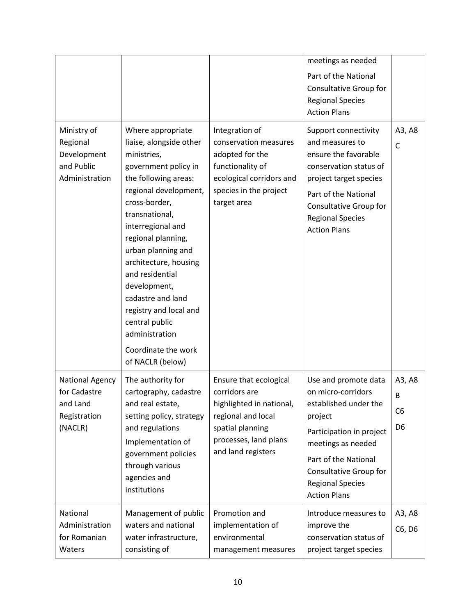|                                                                               |                                                                                                                                                                                                                                                                                                                                                                                                                                    |                                                                                                                                                              | meetings as needed<br>Part of the National<br>Consultative Group for<br><b>Regional Species</b><br><b>Action Plans</b>                                                                                                               |                                                 |
|-------------------------------------------------------------------------------|------------------------------------------------------------------------------------------------------------------------------------------------------------------------------------------------------------------------------------------------------------------------------------------------------------------------------------------------------------------------------------------------------------------------------------|--------------------------------------------------------------------------------------------------------------------------------------------------------------|--------------------------------------------------------------------------------------------------------------------------------------------------------------------------------------------------------------------------------------|-------------------------------------------------|
| Ministry of<br>Regional<br>Development<br>and Public<br>Administration        | Where appropriate<br>liaise, alongside other<br>ministries,<br>government policy in<br>the following areas:<br>regional development,<br>cross-border,<br>transnational,<br>interregional and<br>regional planning,<br>urban planning and<br>architecture, housing<br>and residential<br>development,<br>cadastre and land<br>registry and local and<br>central public<br>administration<br>Coordinate the work<br>of NACLR (below) | Integration of<br>conservation measures<br>adopted for the<br>functionality of<br>ecological corridors and<br>species in the project<br>target area          | Support connectivity<br>and measures to<br>ensure the favorable<br>conservation status of<br>project target species<br>Part of the National<br>Consultative Group for<br><b>Regional Species</b><br><b>Action Plans</b>              | A3, A8<br>C                                     |
| <b>National Agency</b><br>for Cadastre<br>and Land<br>Registration<br>(NACLR) | The authority for<br>cartography, cadastre<br>and real estate,<br>setting policy, strategy<br>and regulations<br>Implementation of<br>government policies<br>through various<br>agencies and<br>institutions                                                                                                                                                                                                                       | Ensure that ecological<br>corridors are<br>highlighted in national,<br>regional and local<br>spatial planning<br>processes, land plans<br>and land registers | Use and promote data<br>on micro-corridors<br>established under the<br>project<br>Participation in project<br>meetings as needed<br>Part of the National<br>Consultative Group for<br><b>Regional Species</b><br><b>Action Plans</b> | A3, A8<br>B<br>C <sub>6</sub><br>D <sub>6</sub> |
| National<br>Administration<br>for Romanian<br>Waters                          | Management of public<br>waters and national<br>water infrastructure,<br>consisting of                                                                                                                                                                                                                                                                                                                                              | Promotion and<br>implementation of<br>environmental<br>management measures                                                                                   | Introduce measures to<br>improve the<br>conservation status of<br>project target species                                                                                                                                             | A3, A8<br>C6, D6                                |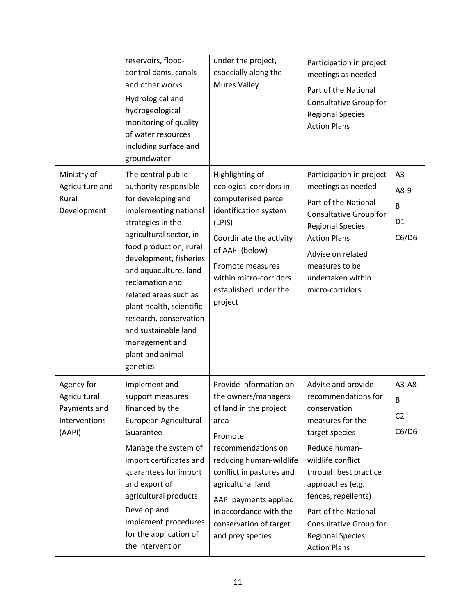| Ministry of<br>Agriculture and<br>Rural<br>Development                | reservoirs, flood-<br>control dams, canals<br>and other works<br>Hydrological and<br>hydrogeological<br>monitoring of quality<br>of water resources<br>including surface and<br>groundwater<br>The central public<br>authority responsible<br>for developing and<br>implementing national<br>strategies in the<br>agricultural sector, in<br>food production, rural<br>development, fisheries<br>and aquaculture, land<br>reclamation and<br>related areas such as<br>plant health, scientific<br>research, conservation<br>and sustainable land | under the project,<br>especially along the<br><b>Mures Valley</b><br>Highlighting of<br>ecological corridors in<br>computerised parcel<br>identification system<br>(LPIS)<br>Coordinate the activity<br>of AAPI (below)<br>Promote measures<br>within micro-corridors<br>established under the<br>project | Participation in project<br>meetings as needed<br>Part of the National<br>Consultative Group for<br><b>Regional Species</b><br><b>Action Plans</b><br>Participation in project<br>meetings as needed<br>Part of the National<br>Consultative Group for<br><b>Regional Species</b><br><b>Action Plans</b><br>Advise on related<br>measures to be<br>undertaken within<br>micro-corridors | A <sub>3</sub><br>A8-9<br>B<br>D <sub>1</sub><br>C6/D6 |
|-----------------------------------------------------------------------|--------------------------------------------------------------------------------------------------------------------------------------------------------------------------------------------------------------------------------------------------------------------------------------------------------------------------------------------------------------------------------------------------------------------------------------------------------------------------------------------------------------------------------------------------|-----------------------------------------------------------------------------------------------------------------------------------------------------------------------------------------------------------------------------------------------------------------------------------------------------------|-----------------------------------------------------------------------------------------------------------------------------------------------------------------------------------------------------------------------------------------------------------------------------------------------------------------------------------------------------------------------------------------|--------------------------------------------------------|
|                                                                       | management and<br>plant and animal<br>genetics                                                                                                                                                                                                                                                                                                                                                                                                                                                                                                   |                                                                                                                                                                                                                                                                                                           |                                                                                                                                                                                                                                                                                                                                                                                         |                                                        |
| Agency for<br>Agricultural<br>Payments and<br>Interventions<br>(AAPI) | Implement and<br>support measures<br>financed by the<br>European Agricultural<br>Guarantee<br>Manage the system of<br>import certificates and<br>guarantees for import<br>and export of<br>agricultural products<br>Develop and<br>implement procedures<br>for the application of<br>the intervention                                                                                                                                                                                                                                            | Provide information on<br>the owners/managers<br>of land in the project<br>area<br>Promote<br>recommendations on<br>reducing human-wildlife<br>conflict in pastures and<br>agricultural land<br>AAPI payments applied<br>in accordance with the<br>conservation of target<br>and prey species             | Advise and provide<br>recommendations for<br>conservation<br>measures for the<br>target species<br>Reduce human-<br>wildlife conflict<br>through best practice<br>approaches (e.g.<br>fences, repellents)<br>Part of the National<br>Consultative Group for<br><b>Regional Species</b><br><b>Action Plans</b>                                                                           | A3-A8<br>B<br>C <sub>2</sub><br>C6/D6                  |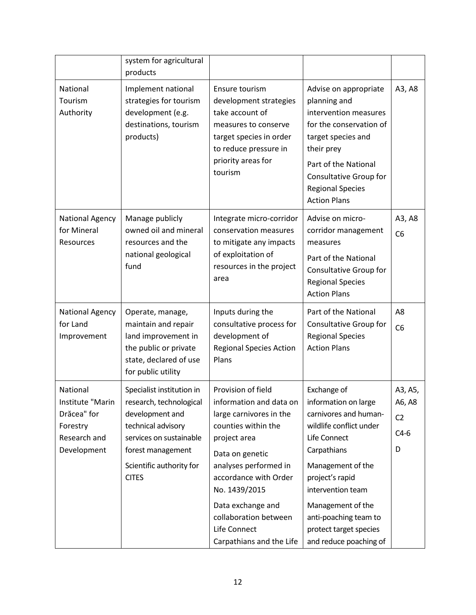|                                                                                        | system for agricultural<br>products                                                                                                                                                       |                                                                                                                                                                                                                                                                                                 |                                                                                                                                                                                                                                                                                       |                                                    |
|----------------------------------------------------------------------------------------|-------------------------------------------------------------------------------------------------------------------------------------------------------------------------------------------|-------------------------------------------------------------------------------------------------------------------------------------------------------------------------------------------------------------------------------------------------------------------------------------------------|---------------------------------------------------------------------------------------------------------------------------------------------------------------------------------------------------------------------------------------------------------------------------------------|----------------------------------------------------|
| National<br>Tourism<br>Authority                                                       | Implement national<br>strategies for tourism<br>development (e.g.<br>destinations, tourism<br>products)                                                                                   | Ensure tourism<br>development strategies<br>take account of<br>measures to conserve<br>target species in order<br>to reduce pressure in<br>priority areas for<br>tourism                                                                                                                        | Advise on appropriate<br>planning and<br>intervention measures<br>for the conservation of<br>target species and<br>their prey<br>Part of the National<br>Consultative Group for<br><b>Regional Species</b><br><b>Action Plans</b>                                                     | A3, A8                                             |
| <b>National Agency</b><br>for Mineral<br>Resources                                     | Manage publicly<br>owned oil and mineral<br>resources and the<br>national geological<br>fund                                                                                              | Integrate micro-corridor<br>conservation measures<br>to mitigate any impacts<br>of exploitation of<br>resources in the project<br>area                                                                                                                                                          | Advise on micro-<br>corridor management<br>measures<br>Part of the National<br>Consultative Group for<br><b>Regional Species</b><br><b>Action Plans</b>                                                                                                                               | A3, A8<br>C <sub>6</sub>                           |
| <b>National Agency</b><br>for Land<br>Improvement                                      | Operate, manage,<br>maintain and repair<br>land improvement in<br>the public or private<br>state, declared of use<br>for public utility                                                   | Inputs during the<br>consultative process for<br>development of<br><b>Regional Species Action</b><br>Plans                                                                                                                                                                                      | Part of the National<br>Consultative Group for<br><b>Regional Species</b><br><b>Action Plans</b>                                                                                                                                                                                      | A8<br>C <sub>6</sub>                               |
| National<br>Institute "Marin<br>Drăcea" for<br>Forestry<br>Research and<br>Development | Specialist institution in<br>research, technological<br>development and<br>technical advisory<br>services on sustainable<br>forest management<br>Scientific authority for<br><b>CITES</b> | Provision of field<br>information and data on<br>large carnivores in the<br>counties within the<br>project area<br>Data on genetic<br>analyses performed in<br>accordance with Order<br>No. 1439/2015<br>Data exchange and<br>collaboration between<br>Life Connect<br>Carpathians and the Life | Exchange of<br>information on large<br>carnivores and human-<br>wildlife conflict under<br>Life Connect<br>Carpathians<br>Management of the<br>project's rapid<br>intervention team<br>Management of the<br>anti-poaching team to<br>protect target species<br>and reduce poaching of | A3, A5,<br>A6, A8<br>C <sub>2</sub><br>$C4-6$<br>D |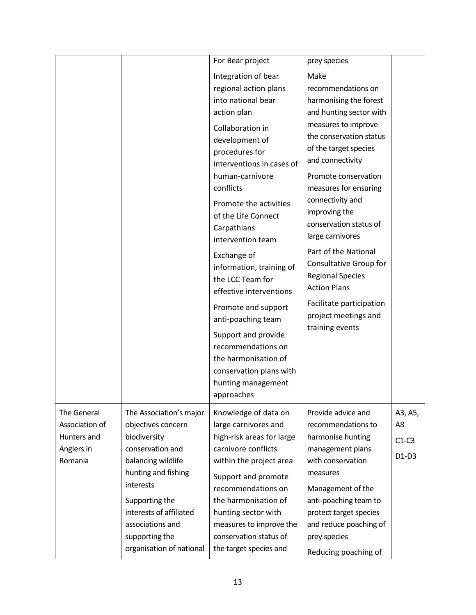|                               |                                        | For Bear project                                                                                                                                                                          | prey species                                                                                                                                                                                           |               |
|-------------------------------|----------------------------------------|-------------------------------------------------------------------------------------------------------------------------------------------------------------------------------------------|--------------------------------------------------------------------------------------------------------------------------------------------------------------------------------------------------------|---------------|
|                               |                                        | Integration of bear<br>regional action plans<br>into national bear<br>action plan<br>Collaboration in<br>development of<br>procedures for<br>interventions in cases of<br>human-carnivore | Make<br>recommendations on<br>harmonising the forest<br>and hunting sector with<br>measures to improve<br>the conservation status<br>of the target species<br>and connectivity<br>Promote conservation |               |
|                               |                                        | conflicts<br>Promote the activities<br>of the Life Connect<br>Carpathians<br>intervention team                                                                                            | measures for ensuring<br>connectivity and<br>improving the<br>conservation status of<br>large carnivores                                                                                               |               |
|                               |                                        | Exchange of<br>information, training of<br>the LCC Team for<br>effective interventions                                                                                                    | Part of the National<br>Consultative Group for<br><b>Regional Species</b><br><b>Action Plans</b>                                                                                                       |               |
|                               |                                        | Promote and support<br>anti-poaching team                                                                                                                                                 | Facilitate participation<br>project meetings and<br>training events                                                                                                                                    |               |
|                               |                                        | Support and provide<br>recommendations on<br>the harmonisation of<br>conservation plans with<br>hunting management<br>approaches                                                          |                                                                                                                                                                                                        |               |
| The General                   | The Association's major                | Knowledge of data on                                                                                                                                                                      | Provide advice and                                                                                                                                                                                     | A3, A5,       |
| Association of<br>Hunters and | objectives concern<br>biodiversity     | large carnivores and<br>high-risk areas for large                                                                                                                                         | recommendations to<br>harmonise hunting                                                                                                                                                                | A8<br>$C1-C3$ |
| Anglers in<br>Romania         | conservation and<br>balancing wildlife | carnivore conflicts<br>within the project area                                                                                                                                            | management plans<br>with conservation                                                                                                                                                                  | $D1-D3$       |
|                               | hunting and fishing<br>interests       | Support and promote                                                                                                                                                                       | measures                                                                                                                                                                                               |               |
|                               | Supporting the                         | recommendations on<br>the harmonisation of                                                                                                                                                | Management of the<br>anti-poaching team to                                                                                                                                                             |               |
|                               | interests of affiliated                | hunting sector with                                                                                                                                                                       | protect target species                                                                                                                                                                                 |               |
|                               | associations and<br>supporting the     | measures to improve the<br>conservation status of                                                                                                                                         | and reduce poaching of<br>prey species                                                                                                                                                                 |               |
|                               | organisation of national               | the target species and                                                                                                                                                                    | Reducing poaching of                                                                                                                                                                                   |               |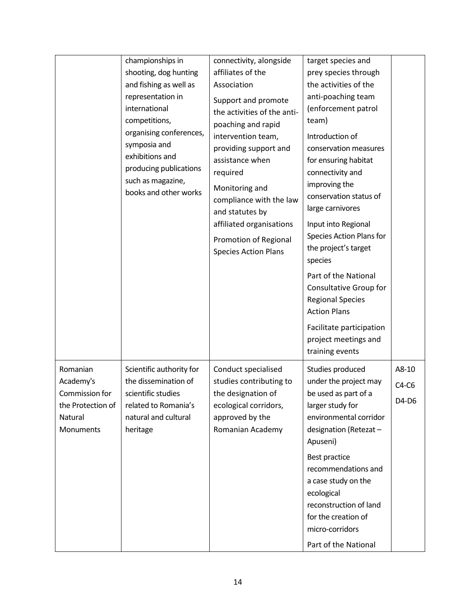|                                                                                      | championships in<br>shooting, dog hunting<br>and fishing as well as<br>representation in<br>international<br>competitions,<br>organising conferences,<br>symposia and<br>exhibitions and<br>producing publications<br>such as magazine,<br>books and other works | connectivity, alongside<br>affiliates of the<br>Association<br>Support and promote<br>the activities of the anti-<br>poaching and rapid<br>intervention team,<br>providing support and<br>assistance when<br>required<br>Monitoring and<br>compliance with the law<br>and statutes by<br>affiliated organisations<br>Promotion of Regional<br><b>Species Action Plans</b> | target species and<br>prey species through<br>the activities of the<br>anti-poaching team<br>(enforcement patrol<br>team)<br>Introduction of<br>conservation measures<br>for ensuring habitat<br>connectivity and<br>improving the<br>conservation status of<br>large carnivores<br>Input into Regional<br>Species Action Plans for<br>the project's target<br>species<br>Part of the National<br>Consultative Group for<br><b>Regional Species</b><br><b>Action Plans</b><br>Facilitate participation<br>project meetings and<br>training events |                           |
|--------------------------------------------------------------------------------------|------------------------------------------------------------------------------------------------------------------------------------------------------------------------------------------------------------------------------------------------------------------|---------------------------------------------------------------------------------------------------------------------------------------------------------------------------------------------------------------------------------------------------------------------------------------------------------------------------------------------------------------------------|---------------------------------------------------------------------------------------------------------------------------------------------------------------------------------------------------------------------------------------------------------------------------------------------------------------------------------------------------------------------------------------------------------------------------------------------------------------------------------------------------------------------------------------------------|---------------------------|
| Romanian<br>Academy's<br>Commission for<br>the Protection of<br>Natural<br>Monuments | Scientific authority for<br>the dissemination of<br>scientific studies<br>related to Romania's<br>natural and cultural<br>heritage                                                                                                                               | Conduct specialised<br>studies contributing to<br>the designation of<br>ecological corridors,<br>approved by the<br>Romanian Academy                                                                                                                                                                                                                                      | Studies produced<br>under the project may<br>be used as part of a<br>larger study for<br>environmental corridor<br>designation (Retezat -<br>Apuseni)<br>Best practice<br>recommendations and<br>a case study on the<br>ecological<br>reconstruction of land<br>for the creation of<br>micro-corridors<br>Part of the National                                                                                                                                                                                                                    | A8-10<br>$C4-C6$<br>D4-D6 |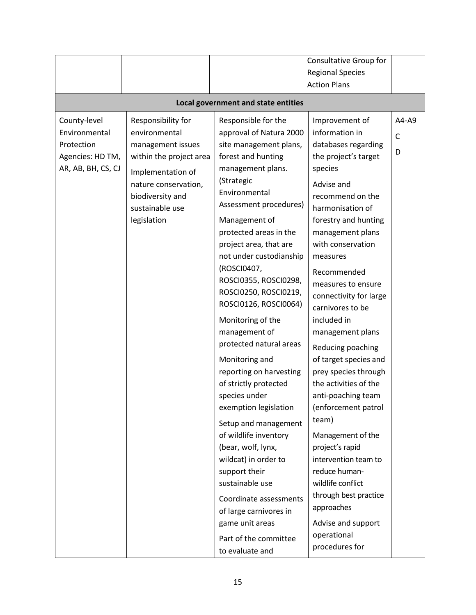|                                     |                         |                         | <b>Consultative Group for</b> |              |  |
|-------------------------------------|-------------------------|-------------------------|-------------------------------|--------------|--|
|                                     |                         |                         | <b>Regional Species</b>       |              |  |
|                                     |                         |                         | <b>Action Plans</b>           |              |  |
| Local government and state entities |                         |                         |                               |              |  |
| County-level                        | Responsibility for      | Responsible for the     | Improvement of                | A4-A9        |  |
| Environmental                       | environmental           | approval of Natura 2000 | information in                | $\mathsf{C}$ |  |
| Protection                          | management issues       | site management plans,  | databases regarding           |              |  |
| Agencies: HD TM,                    | within the project area | forest and hunting      | the project's target          | D            |  |
| AR, AB, BH, CS, CJ                  | Implementation of       | management plans.       | species                       |              |  |
|                                     | nature conservation,    | (Strategic              | Advise and                    |              |  |
|                                     | biodiversity and        | Environmental           | recommend on the              |              |  |
|                                     | sustainable use         | Assessment procedures)  | harmonisation of              |              |  |
|                                     | legislation             | Management of           | forestry and hunting          |              |  |
|                                     |                         | protected areas in the  | management plans              |              |  |
|                                     |                         | project area, that are  | with conservation             |              |  |
|                                     |                         | not under custodianship | measures                      |              |  |
|                                     |                         | (ROSCI0407,             | Recommended                   |              |  |
|                                     |                         | ROSCI0355, ROSCI0298,   | measures to ensure            |              |  |
|                                     |                         | ROSCI0250, ROSCI0219,   | connectivity for large        |              |  |
|                                     |                         | ROSCI0126, ROSCI0064)   | carnivores to be              |              |  |
|                                     |                         | Monitoring of the       | included in                   |              |  |
|                                     |                         | management of           | management plans              |              |  |
|                                     |                         | protected natural areas | Reducing poaching             |              |  |
|                                     |                         | Monitoring and          | of target species and         |              |  |
|                                     |                         | reporting on harvesting | prey species through          |              |  |
|                                     |                         | of strictly protected   | the activities of the         |              |  |
|                                     |                         | species under           | anti-poaching team            |              |  |
|                                     |                         | exemption legislation   | (enforcement patrol           |              |  |
|                                     |                         | Setup and management    | team)                         |              |  |
|                                     |                         | of wildlife inventory   | Management of the             |              |  |
|                                     |                         | (bear, wolf, lynx,      | project's rapid               |              |  |
|                                     |                         | wildcat) in order to    | intervention team to          |              |  |
|                                     |                         | support their           | reduce human-                 |              |  |
|                                     |                         | sustainable use         | wildlife conflict             |              |  |
|                                     |                         | Coordinate assessments  | through best practice         |              |  |
|                                     |                         | of large carnivores in  | approaches                    |              |  |
|                                     |                         | game unit areas         | Advise and support            |              |  |
|                                     |                         | Part of the committee   | operational                   |              |  |
|                                     |                         | to evaluate and         | procedures for                |              |  |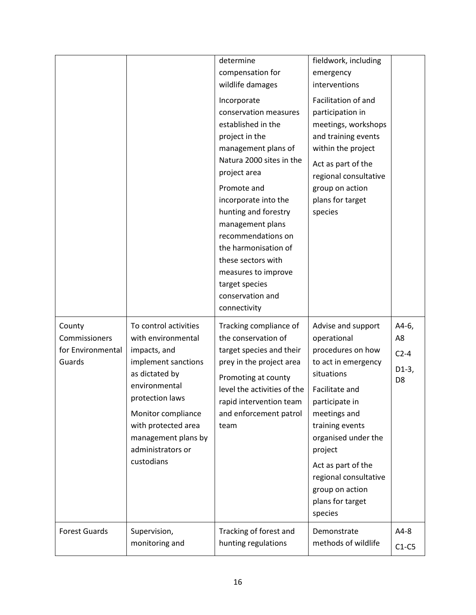|                                                        |                                                                                                                                                                                                                                                 | determine<br>compensation for<br>wildlife damages<br>Incorporate<br>conservation measures<br>established in the<br>project in the<br>management plans of<br>Natura 2000 sites in the<br>project area<br>Promote and<br>incorporate into the<br>hunting and forestry<br>management plans<br>recommendations on<br>the harmonisation of<br>these sectors with<br>measures to improve<br>target species<br>conservation and<br>connectivity | fieldwork, including<br>emergency<br>interventions<br>Facilitation of and<br>participation in<br>meetings, workshops<br>and training events<br>within the project<br>Act as part of the<br>regional consultative<br>group on action<br>plans for target<br>species                                    |                                                    |
|--------------------------------------------------------|-------------------------------------------------------------------------------------------------------------------------------------------------------------------------------------------------------------------------------------------------|------------------------------------------------------------------------------------------------------------------------------------------------------------------------------------------------------------------------------------------------------------------------------------------------------------------------------------------------------------------------------------------------------------------------------------------|-------------------------------------------------------------------------------------------------------------------------------------------------------------------------------------------------------------------------------------------------------------------------------------------------------|----------------------------------------------------|
| County<br>Commissioners<br>for Environmental<br>Guards | To control activities<br>with environmental<br>impacts, and<br>implement sanctions<br>as dictated by<br>environmental<br>protection laws<br>Monitor compliance<br>with protected area<br>management plans by<br>administrators or<br>custodians | Tracking compliance of<br>the conservation of<br>target species and their<br>prey in the project area<br>Promoting at county<br>level the activities of the<br>rapid intervention team<br>and enforcement patrol<br>team                                                                                                                                                                                                                 | Advise and support<br>operational<br>procedures on how<br>to act in emergency<br>situations<br>Facilitate and<br>participate in<br>meetings and<br>training events<br>organised under the<br>project<br>Act as part of the<br>regional consultative<br>group on action<br>plans for target<br>species | A4-6,<br>A8<br>$C2-4$<br>$D1-3,$<br>D <sub>8</sub> |
| <b>Forest Guards</b>                                   | Supervision,<br>monitoring and                                                                                                                                                                                                                  | Tracking of forest and<br>hunting regulations                                                                                                                                                                                                                                                                                                                                                                                            | Demonstrate<br>methods of wildlife                                                                                                                                                                                                                                                                    | $A4-8$<br>$C1-C5$                                  |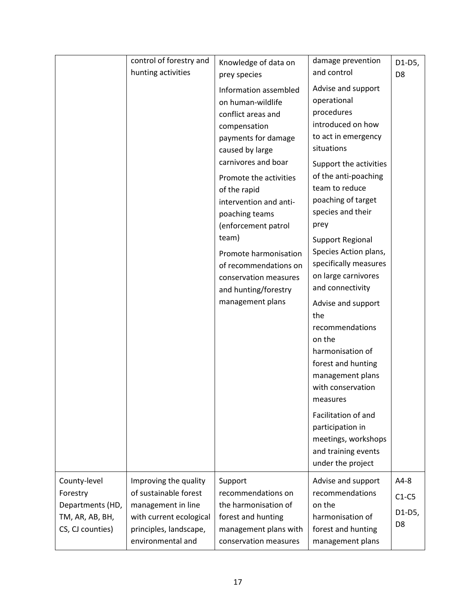|                  | control of forestry and | Knowledge of data on                                                                                                                                                                                                                                                                                                                                                                           | damage prevention                                                                                                                                                                                                                                                                                                                                                                                                                                                                                                                                                                                                        | D1-D5,         |
|------------------|-------------------------|------------------------------------------------------------------------------------------------------------------------------------------------------------------------------------------------------------------------------------------------------------------------------------------------------------------------------------------------------------------------------------------------|--------------------------------------------------------------------------------------------------------------------------------------------------------------------------------------------------------------------------------------------------------------------------------------------------------------------------------------------------------------------------------------------------------------------------------------------------------------------------------------------------------------------------------------------------------------------------------------------------------------------------|----------------|
|                  | hunting activities      | prey species                                                                                                                                                                                                                                                                                                                                                                                   | and control                                                                                                                                                                                                                                                                                                                                                                                                                                                                                                                                                                                                              | D <sub>8</sub> |
|                  |                         | Information assembled<br>on human-wildlife<br>conflict areas and<br>compensation<br>payments for damage<br>caused by large<br>carnivores and boar<br>Promote the activities<br>of the rapid<br>intervention and anti-<br>poaching teams<br>(enforcement patrol<br>team)<br>Promote harmonisation<br>of recommendations on<br>conservation measures<br>and hunting/forestry<br>management plans | Advise and support<br>operational<br>procedures<br>introduced on how<br>to act in emergency<br>situations<br>Support the activities<br>of the anti-poaching<br>team to reduce<br>poaching of target<br>species and their<br>prey<br>Support Regional<br>Species Action plans,<br>specifically measures<br>on large carnivores<br>and connectivity<br>Advise and support<br>the<br>recommendations<br>on the<br>harmonisation of<br>forest and hunting<br>management plans<br>with conservation<br>measures<br>Facilitation of and<br>participation in<br>meetings, workshops<br>and training events<br>under the project |                |
| County-level     | Improving the quality   | Support                                                                                                                                                                                                                                                                                                                                                                                        | Advise and support                                                                                                                                                                                                                                                                                                                                                                                                                                                                                                                                                                                                       | A4-8           |
| Forestry         | of sustainable forest   | recommendations on                                                                                                                                                                                                                                                                                                                                                                             | recommendations                                                                                                                                                                                                                                                                                                                                                                                                                                                                                                                                                                                                          | $C1-C5$        |
| Departments (HD, | management in line      | the harmonisation of                                                                                                                                                                                                                                                                                                                                                                           | on the                                                                                                                                                                                                                                                                                                                                                                                                                                                                                                                                                                                                                   | D1-D5,         |
| TM, AR, AB, BH,  | with current ecological | forest and hunting                                                                                                                                                                                                                                                                                                                                                                             | harmonisation of                                                                                                                                                                                                                                                                                                                                                                                                                                                                                                                                                                                                         |                |
| CS, CJ counties) | principles, landscape,  | management plans with                                                                                                                                                                                                                                                                                                                                                                          | forest and hunting                                                                                                                                                                                                                                                                                                                                                                                                                                                                                                                                                                                                       | D <sub>8</sub> |
|                  | environmental and       | conservation measures                                                                                                                                                                                                                                                                                                                                                                          | management plans                                                                                                                                                                                                                                                                                                                                                                                                                                                                                                                                                                                                         |                |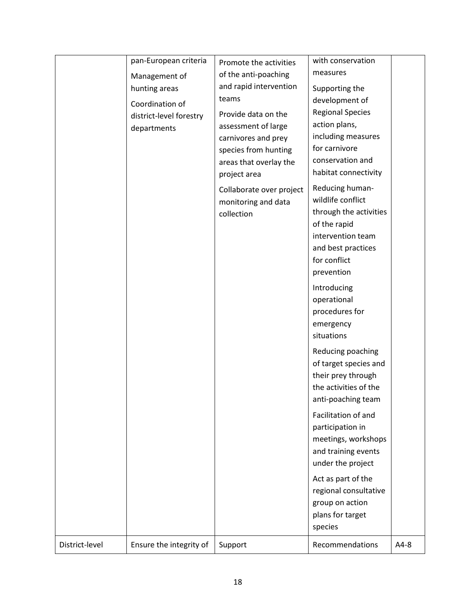|                | pan-European criteria   | Promote the activities   | with conservation          |        |
|----------------|-------------------------|--------------------------|----------------------------|--------|
|                | Management of           | of the anti-poaching     | measures                   |        |
|                | hunting areas           | and rapid intervention   | Supporting the             |        |
|                | Coordination of         | teams                    | development of             |        |
|                | district-level forestry | Provide data on the      | <b>Regional Species</b>    |        |
|                | departments             | assessment of large      | action plans,              |        |
|                |                         | carnivores and prey      | including measures         |        |
|                |                         | species from hunting     | for carnivore              |        |
|                |                         | areas that overlay the   | conservation and           |        |
|                |                         | project area             | habitat connectivity       |        |
|                |                         | Collaborate over project | Reducing human-            |        |
|                |                         | monitoring and data      | wildlife conflict          |        |
|                |                         | collection               | through the activities     |        |
|                |                         |                          | of the rapid               |        |
|                |                         |                          | intervention team          |        |
|                |                         |                          | and best practices         |        |
|                |                         |                          | for conflict<br>prevention |        |
|                |                         |                          |                            |        |
|                |                         |                          | Introducing                |        |
|                |                         |                          | operational                |        |
|                |                         |                          | procedures for             |        |
|                |                         |                          | emergency<br>situations    |        |
|                |                         |                          |                            |        |
|                |                         |                          | Reducing poaching          |        |
|                |                         |                          | of target species and      |        |
|                |                         |                          | their prey through         |        |
|                |                         |                          | the activities of the      |        |
|                |                         |                          | anti-poaching team         |        |
|                |                         |                          | Facilitation of and        |        |
|                |                         |                          | participation in           |        |
|                |                         |                          | meetings, workshops        |        |
|                |                         |                          | and training events        |        |
|                |                         |                          | under the project          |        |
|                |                         |                          | Act as part of the         |        |
|                |                         |                          | regional consultative      |        |
|                |                         |                          | group on action            |        |
|                |                         |                          | plans for target           |        |
|                |                         |                          | species                    |        |
| District-level | Ensure the integrity of | Support                  | Recommendations            | $A4-8$ |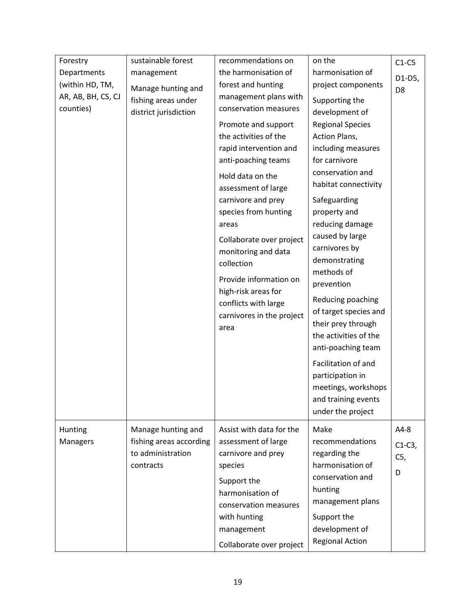| Forestry           | sustainable forest      | recommendations on                              | on the                                  | $C1-C5$        |
|--------------------|-------------------------|-------------------------------------------------|-----------------------------------------|----------------|
| Departments        | management              | the harmonisation of                            | harmonisation of                        | D1-D5,         |
| (within HD, TM,    | Manage hunting and      | forest and hunting                              | project components                      | D <sub>8</sub> |
| AR, AB, BH, CS, CJ | fishing areas under     | management plans with                           | Supporting the                          |                |
| counties)          | district jurisdiction   | conservation measures                           | development of                          |                |
|                    |                         | Promote and support                             | <b>Regional Species</b>                 |                |
|                    |                         | the activities of the                           | Action Plans,                           |                |
|                    |                         | rapid intervention and                          | including measures                      |                |
|                    |                         | anti-poaching teams                             | for carnivore                           |                |
|                    |                         | Hold data on the                                | conservation and                        |                |
|                    |                         | assessment of large                             | habitat connectivity                    |                |
|                    |                         | carnivore and prey                              | Safeguarding                            |                |
|                    |                         | species from hunting                            | property and                            |                |
|                    |                         | areas                                           | reducing damage                         |                |
|                    |                         |                                                 | caused by large                         |                |
|                    |                         | Collaborate over project<br>monitoring and data | carnivores by                           |                |
|                    |                         | collection                                      | demonstrating                           |                |
|                    |                         |                                                 | methods of                              |                |
|                    |                         | Provide information on                          | prevention                              |                |
|                    |                         | high-risk areas for                             | Reducing poaching                       |                |
|                    |                         | conflicts with large                            | of target species and                   |                |
|                    |                         | carnivores in the project                       | their prey through                      |                |
|                    |                         | area                                            | the activities of the                   |                |
|                    |                         |                                                 | anti-poaching team                      |                |
|                    |                         |                                                 | Facilitation of and                     |                |
|                    |                         |                                                 |                                         |                |
|                    |                         |                                                 | participation in<br>meetings, workshops |                |
|                    |                         |                                                 | and training events                     |                |
|                    |                         |                                                 | under the project                       |                |
|                    |                         |                                                 |                                         |                |
| Hunting            | Manage hunting and      | Assist with data for the                        | Make                                    | $A4-8$         |
| Managers           | fishing areas according | assessment of large                             | recommendations                         | $C1-C3$ ,      |
|                    | to administration       | carnivore and prey                              | regarding the                           | C5,            |
|                    | contracts               | species                                         | harmonisation of                        | D              |
|                    |                         | Support the                                     | conservation and                        |                |
|                    |                         | harmonisation of                                | hunting                                 |                |
|                    |                         | conservation measures                           | management plans                        |                |
|                    |                         | with hunting                                    | Support the                             |                |
|                    |                         | management                                      | development of                          |                |
|                    |                         | Collaborate over project                        | <b>Regional Action</b>                  |                |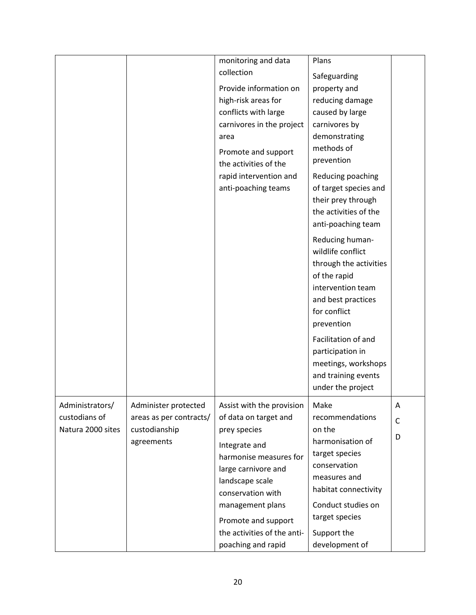|                                                       |                                                                                | monitoring and data<br>collection<br>Provide information on<br>high-risk areas for<br>conflicts with large<br>carnivores in the project<br>area<br>Promote and support<br>the activities of the<br>rapid intervention and<br>anti-poaching teams                             | Plans<br>Safeguarding<br>property and<br>reducing damage<br>caused by large<br>carnivores by<br>demonstrating<br>methods of<br>prevention<br>Reducing poaching<br>of target species and<br>their prey through<br>the activities of the<br>anti-poaching team<br>Reducing human-<br>wildlife conflict<br>through the activities<br>of the rapid<br>intervention team<br>and best practices<br>for conflict<br>prevention<br>Facilitation of and<br>participation in<br>meetings, workshops<br>and training events<br>under the project |                        |
|-------------------------------------------------------|--------------------------------------------------------------------------------|------------------------------------------------------------------------------------------------------------------------------------------------------------------------------------------------------------------------------------------------------------------------------|---------------------------------------------------------------------------------------------------------------------------------------------------------------------------------------------------------------------------------------------------------------------------------------------------------------------------------------------------------------------------------------------------------------------------------------------------------------------------------------------------------------------------------------|------------------------|
| Administrators/<br>custodians of<br>Natura 2000 sites | Administer protected<br>areas as per contracts/<br>custodianship<br>agreements | Assist with the provision<br>of data on target and<br>prey species<br>Integrate and<br>harmonise measures for<br>large carnivore and<br>landscape scale<br>conservation with<br>management plans<br>Promote and support<br>the activities of the anti-<br>poaching and rapid | Make<br>recommendations<br>on the<br>harmonisation of<br>target species<br>conservation<br>measures and<br>habitat connectivity<br>Conduct studies on<br>target species<br>Support the<br>development of                                                                                                                                                                                                                                                                                                                              | A<br>$\mathsf{C}$<br>D |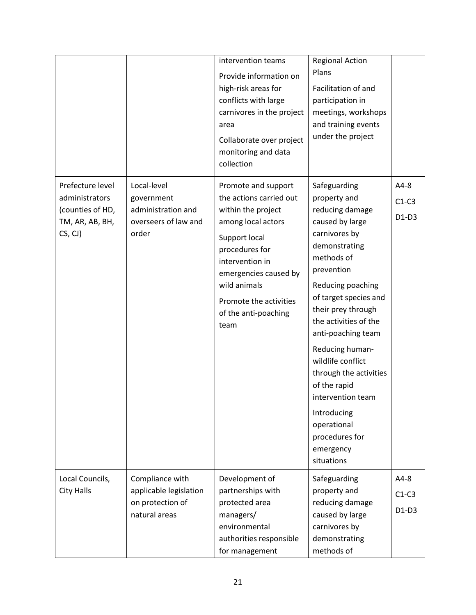|                                                                                      |                                                                                  | intervention teams<br>Provide information on<br>high-risk areas for<br>conflicts with large<br>carnivores in the project<br>area<br>Collaborate over project<br>monitoring and data<br>collection                                                   | <b>Regional Action</b><br>Plans<br>Facilitation of and<br>participation in<br>meetings, workshops<br>and training events<br>under the project                                                                                                                                                                                                                                                                                         |                              |
|--------------------------------------------------------------------------------------|----------------------------------------------------------------------------------|-----------------------------------------------------------------------------------------------------------------------------------------------------------------------------------------------------------------------------------------------------|---------------------------------------------------------------------------------------------------------------------------------------------------------------------------------------------------------------------------------------------------------------------------------------------------------------------------------------------------------------------------------------------------------------------------------------|------------------------------|
| Prefecture level<br>administrators<br>(counties of HD,<br>TM, AR, AB, BH,<br>CS, CJ) | Local-level<br>government<br>administration and<br>overseers of law and<br>order | Promote and support<br>the actions carried out<br>within the project<br>among local actors<br>Support local<br>procedures for<br>intervention in<br>emergencies caused by<br>wild animals<br>Promote the activities<br>of the anti-poaching<br>team | Safeguarding<br>property and<br>reducing damage<br>caused by large<br>carnivores by<br>demonstrating<br>methods of<br>prevention<br>Reducing poaching<br>of target species and<br>their prey through<br>the activities of the<br>anti-poaching team<br>Reducing human-<br>wildlife conflict<br>through the activities<br>of the rapid<br>intervention team<br>Introducing<br>operational<br>procedures for<br>emergency<br>situations | $A4-8$<br>$C1-C3$<br>$D1-D3$ |
| Local Councils,<br><b>City Halls</b>                                                 | Compliance with<br>applicable legislation<br>on protection of<br>natural areas   | Development of<br>partnerships with<br>protected area<br>managers/<br>environmental<br>authorities responsible<br>for management                                                                                                                    | Safeguarding<br>property and<br>reducing damage<br>caused by large<br>carnivores by<br>demonstrating<br>methods of                                                                                                                                                                                                                                                                                                                    | $A4-8$<br>$C1-C3$<br>$D1-D3$ |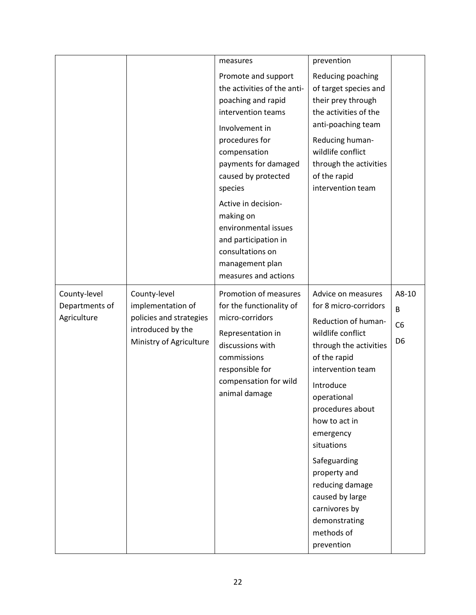|                                               |                                                                                                              | measures                                                                                                                                                                                                                                                                                                                                                        | prevention                                                                                                                                                                                                                                                                                                                                                                             |                                                |
|-----------------------------------------------|--------------------------------------------------------------------------------------------------------------|-----------------------------------------------------------------------------------------------------------------------------------------------------------------------------------------------------------------------------------------------------------------------------------------------------------------------------------------------------------------|----------------------------------------------------------------------------------------------------------------------------------------------------------------------------------------------------------------------------------------------------------------------------------------------------------------------------------------------------------------------------------------|------------------------------------------------|
|                                               |                                                                                                              | Promote and support<br>the activities of the anti-<br>poaching and rapid<br>intervention teams<br>Involvement in<br>procedures for<br>compensation<br>payments for damaged<br>caused by protected<br>species<br>Active in decision-<br>making on<br>environmental issues<br>and participation in<br>consultations on<br>management plan<br>measures and actions | Reducing poaching<br>of target species and<br>their prey through<br>the activities of the<br>anti-poaching team<br>Reducing human-<br>wildlife conflict<br>through the activities<br>of the rapid<br>intervention team                                                                                                                                                                 |                                                |
| County-level<br>Departments of<br>Agriculture | County-level<br>implementation of<br>policies and strategies<br>introduced by the<br>Ministry of Agriculture | Promotion of measures<br>for the functionality of<br>micro-corridors<br>Representation in<br>discussions with<br>commissions<br>responsible for<br>compensation for wild<br>animal damage                                                                                                                                                                       | Advice on measures<br>for 8 micro-corridors<br>Reduction of human-<br>wildlife conflict<br>through the activities<br>of the rapid<br>intervention team<br>Introduce<br>operational<br>procedures about<br>how to act in<br>emergency<br>situations<br>Safeguarding<br>property and<br>reducing damage<br>caused by large<br>carnivores by<br>demonstrating<br>methods of<br>prevention | A8-10<br>B<br>C <sub>6</sub><br>D <sub>6</sub> |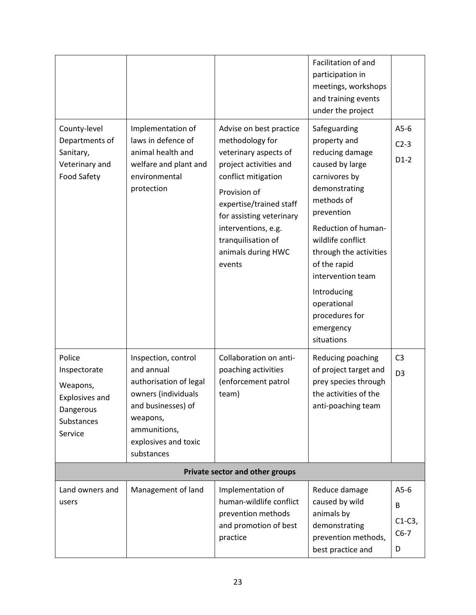| County-level<br>Departments of<br>Sanitary,<br>Veterinary and<br><b>Food Safety</b>               | Implementation of<br>laws in defence of<br>animal health and<br>welfare and plant and<br>environmental<br>protection                                                       | Advise on best practice<br>methodology for<br>veterinary aspects of<br>project activities and<br>conflict mitigation<br>Provision of<br>expertise/trained staff<br>for assisting veterinary<br>interventions, e.g.<br>tranquilisation of<br>animals during HWC<br>events | Facilitation of and<br>participation in<br>meetings, workshops<br>and training events<br>under the project<br>Safeguarding<br>property and<br>reducing damage<br>caused by large<br>carnivores by<br>demonstrating<br>methods of<br>prevention<br>Reduction of human-<br>wildlife conflict<br>through the activities<br>of the rapid<br>intervention team<br>Introducing<br>operational | $A5-6$<br>$C2-3$<br>$D1-2$              |
|---------------------------------------------------------------------------------------------------|----------------------------------------------------------------------------------------------------------------------------------------------------------------------------|--------------------------------------------------------------------------------------------------------------------------------------------------------------------------------------------------------------------------------------------------------------------------|-----------------------------------------------------------------------------------------------------------------------------------------------------------------------------------------------------------------------------------------------------------------------------------------------------------------------------------------------------------------------------------------|-----------------------------------------|
|                                                                                                   |                                                                                                                                                                            |                                                                                                                                                                                                                                                                          | procedures for<br>emergency<br>situations                                                                                                                                                                                                                                                                                                                                               |                                         |
| Police<br>Inspectorate<br>Weapons,<br><b>Explosives and</b><br>Dangerous<br>Substances<br>Service | Inspection, control<br>and annual<br>authorisation of legal<br>owners (individuals<br>and businesses) of<br>weapons,<br>ammunitions,<br>explosives and toxic<br>substances | Collaboration on anti-<br>poaching activities<br>(enforcement patrol<br>team)                                                                                                                                                                                            | Reducing poaching<br>of project target and<br>prey species through<br>the activities of the<br>anti-poaching team                                                                                                                                                                                                                                                                       | C <sub>3</sub><br>D <sub>3</sub>        |
|                                                                                                   |                                                                                                                                                                            | Private sector and other groups                                                                                                                                                                                                                                          |                                                                                                                                                                                                                                                                                                                                                                                         |                                         |
| Land owners and<br>users                                                                          | Management of land                                                                                                                                                         | Implementation of<br>human-wildlife conflict<br>prevention methods<br>and promotion of best<br>practice                                                                                                                                                                  | Reduce damage<br>caused by wild<br>animals by<br>demonstrating<br>prevention methods,<br>best practice and                                                                                                                                                                                                                                                                              | $A5-6$<br>B<br>$C1-C3$ ,<br>$C6-7$<br>D |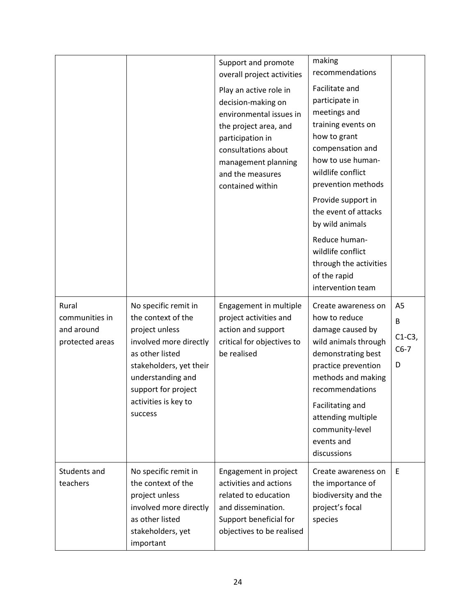|                               |                                            | Support and promote<br>overall project activities<br>Play an active role in<br>decision-making on<br>environmental issues in<br>the project area, and<br>participation in<br>consultations about<br>management planning<br>and the measures<br>contained within | making<br>recommendations<br>Facilitate and<br>participate in<br>meetings and<br>training events on<br>how to grant<br>compensation and<br>how to use human-<br>wildlife conflict<br>prevention methods<br>Provide support in<br>the event of attacks<br>by wild animals<br>Reduce human-<br>wildlife conflict<br>through the activities<br>of the rapid<br>intervention team |             |
|-------------------------------|--------------------------------------------|-----------------------------------------------------------------------------------------------------------------------------------------------------------------------------------------------------------------------------------------------------------------|-------------------------------------------------------------------------------------------------------------------------------------------------------------------------------------------------------------------------------------------------------------------------------------------------------------------------------------------------------------------------------|-------------|
| Rural<br>communities in       | No specific remit in<br>the context of the | Engagement in multiple<br>project activities and                                                                                                                                                                                                                | Create awareness on<br>how to reduce                                                                                                                                                                                                                                                                                                                                          | A5<br>B     |
| and around<br>protected areas | project unless<br>involved more directly   | action and support<br>critical for objectives to                                                                                                                                                                                                                | damage caused by<br>wild animals through                                                                                                                                                                                                                                                                                                                                      | $C1-C3$ ,   |
|                               | as other listed<br>stakeholders, yet their | be realised                                                                                                                                                                                                                                                     | demonstrating best<br>practice prevention                                                                                                                                                                                                                                                                                                                                     | $C6-7$<br>D |
|                               | understanding and<br>support for project   |                                                                                                                                                                                                                                                                 | methods and making<br>recommendations                                                                                                                                                                                                                                                                                                                                         |             |
|                               | activities is key to<br>success            |                                                                                                                                                                                                                                                                 | Facilitating and                                                                                                                                                                                                                                                                                                                                                              |             |
|                               |                                            |                                                                                                                                                                                                                                                                 | attending multiple<br>community-level<br>events and<br>discussions                                                                                                                                                                                                                                                                                                            |             |
| Students and<br>teachers      | No specific remit in<br>the context of the | Engagement in project<br>activities and actions                                                                                                                                                                                                                 | Create awareness on<br>the importance of                                                                                                                                                                                                                                                                                                                                      | E           |
|                               | project unless                             | related to education                                                                                                                                                                                                                                            | biodiversity and the                                                                                                                                                                                                                                                                                                                                                          |             |
|                               | involved more directly<br>as other listed  | and dissemination.<br>Support beneficial for                                                                                                                                                                                                                    | project's focal<br>species                                                                                                                                                                                                                                                                                                                                                    |             |
|                               | stakeholders, yet<br>important             | objectives to be realised                                                                                                                                                                                                                                       |                                                                                                                                                                                                                                                                                                                                                                               |             |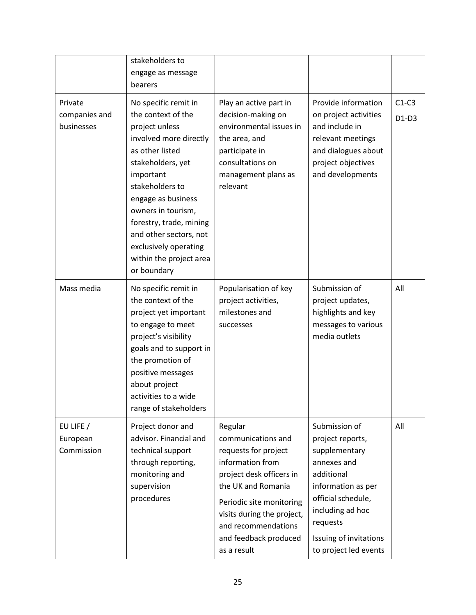|                                        | stakeholders to<br>engage as message<br>bearers                                                                                                                                                                                                                                                                                    |                                                                                                                                                                                                                                                      |                                                                                                                                                                                                                |                    |
|----------------------------------------|------------------------------------------------------------------------------------------------------------------------------------------------------------------------------------------------------------------------------------------------------------------------------------------------------------------------------------|------------------------------------------------------------------------------------------------------------------------------------------------------------------------------------------------------------------------------------------------------|----------------------------------------------------------------------------------------------------------------------------------------------------------------------------------------------------------------|--------------------|
| Private<br>companies and<br>businesses | No specific remit in<br>the context of the<br>project unless<br>involved more directly<br>as other listed<br>stakeholders, yet<br>important<br>stakeholders to<br>engage as business<br>owners in tourism,<br>forestry, trade, mining<br>and other sectors, not<br>exclusively operating<br>within the project area<br>or boundary | Play an active part in<br>decision-making on<br>environmental issues in<br>the area, and<br>participate in<br>consultations on<br>management plans as<br>relevant                                                                                    | Provide information<br>on project activities<br>and include in<br>relevant meetings<br>and dialogues about<br>project objectives<br>and developments                                                           | $C1-C3$<br>$D1-D3$ |
| Mass media                             | No specific remit in<br>the context of the<br>project yet important<br>to engage to meet<br>project's visibility<br>goals and to support in<br>the promotion of<br>positive messages<br>about project<br>activities to a wide<br>range of stakeholders                                                                             | Popularisation of key<br>project activities,<br>milestones and<br>successes                                                                                                                                                                          | Submission of<br>project updates,<br>highlights and key<br>messages to various<br>media outlets                                                                                                                | All                |
| EU LIFE /<br>European<br>Commission    | Project donor and<br>advisor. Financial and<br>technical support<br>through reporting,<br>monitoring and<br>supervision<br>procedures                                                                                                                                                                                              | Regular<br>communications and<br>requests for project<br>information from<br>project desk officers in<br>the UK and Romania<br>Periodic site monitoring<br>visits during the project,<br>and recommendations<br>and feedback produced<br>as a result | Submission of<br>project reports,<br>supplementary<br>annexes and<br>additional<br>information as per<br>official schedule,<br>including ad hoc<br>requests<br>Issuing of invitations<br>to project led events | All                |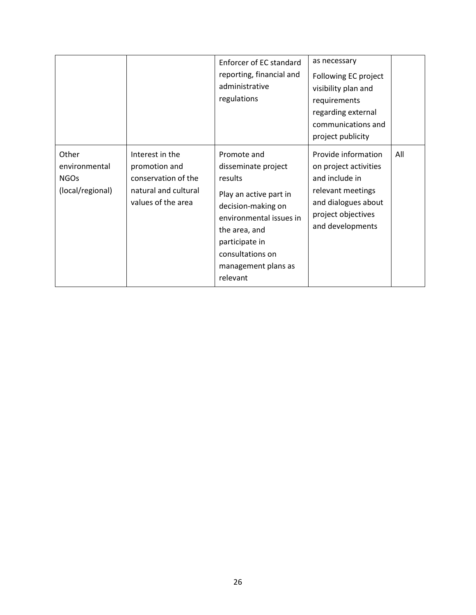|                                                           |                                                                                                       | Enforcer of EC standard<br>reporting, financial and<br>administrative<br>regulations                                                                                                                               | as necessary<br>Following EC project<br>visibility plan and<br>requirements<br>regarding external<br>communications and<br>project publicity         |     |
|-----------------------------------------------------------|-------------------------------------------------------------------------------------------------------|--------------------------------------------------------------------------------------------------------------------------------------------------------------------------------------------------------------------|------------------------------------------------------------------------------------------------------------------------------------------------------|-----|
| Other<br>environmental<br><b>NGOs</b><br>(local/regional) | Interest in the<br>promotion and<br>conservation of the<br>natural and cultural<br>values of the area | Promote and<br>disseminate project<br>results<br>Play an active part in<br>decision-making on<br>environmental issues in<br>the area, and<br>participate in<br>consultations on<br>management plans as<br>relevant | Provide information<br>on project activities<br>and include in<br>relevant meetings<br>and dialogues about<br>project objectives<br>and developments | All |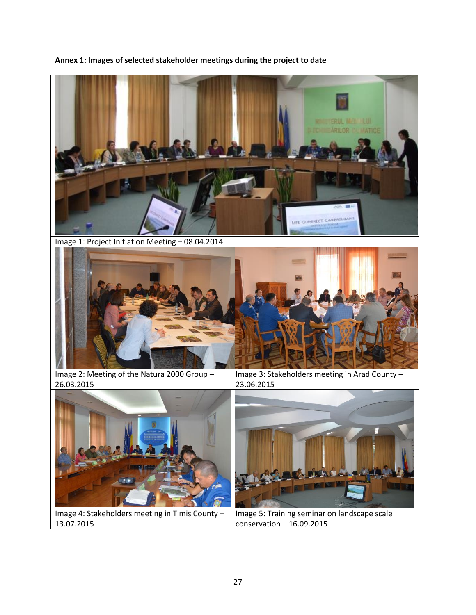**Annex 1: Images of selected stakeholder meetings during the project to date**



Image 1: Project Initiation Meeting – 08.04.2014



Image 2: Meeting of the Natura 2000 Group – 26.03.2015

Image 3: Stakeholders meeting in Arad County – 23.06.2015



Image 4: Stakeholders meeting in Timis County – 13.07.2015



Image 5: Training seminar on landscape scale conservation – 16.09.2015